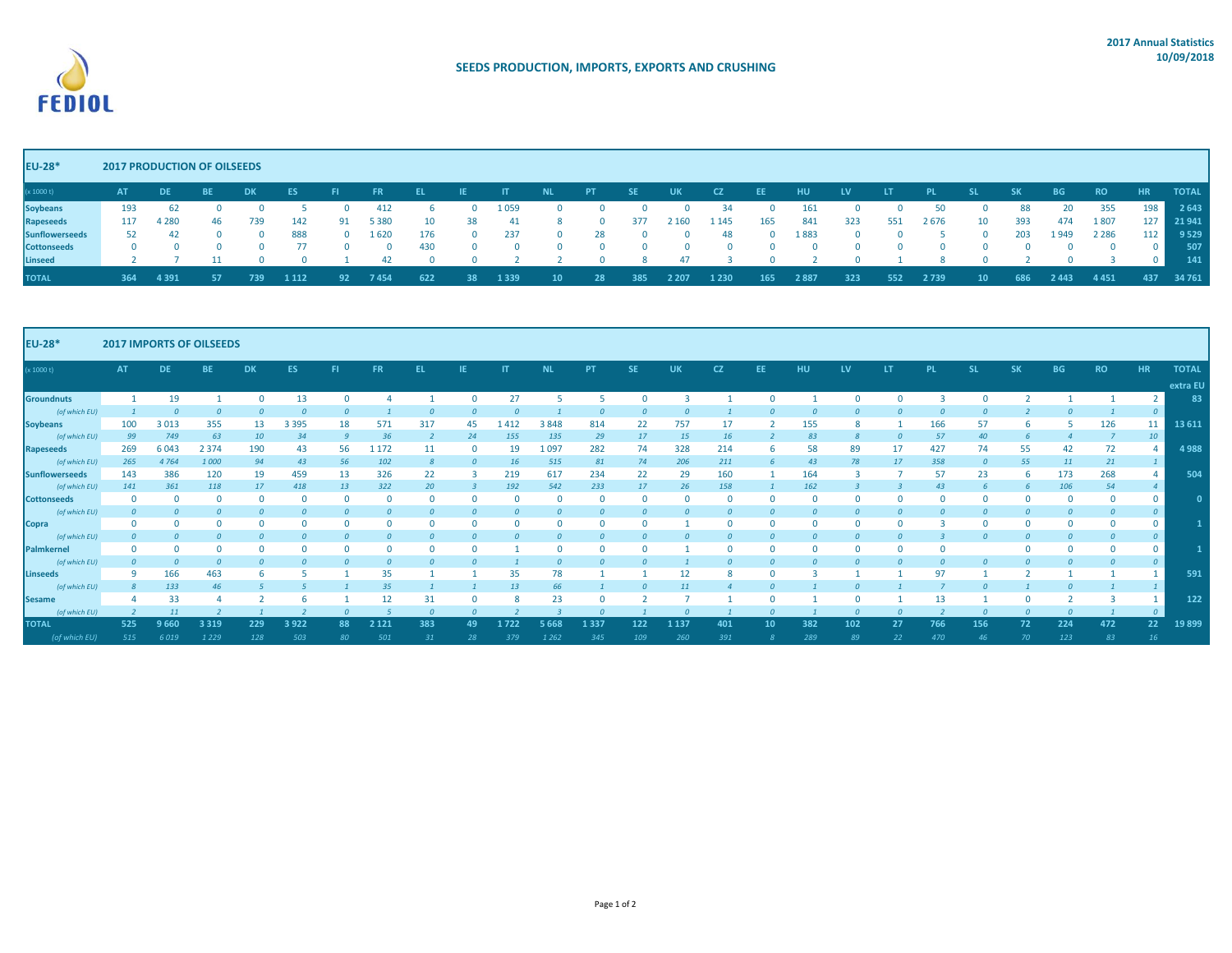

| <b>EU-28*</b>         | <b>2017 PRODUCTION OF OILSEEDS</b> |           |           |      |         |     |           |     |    |       |          |              |           |           |             |          |      |     |      |       |     |           |           |              |              |
|-----------------------|------------------------------------|-----------|-----------|------|---------|-----|-----------|-----|----|-------|----------|--------------|-----------|-----------|-------------|----------|------|-----|------|-------|-----|-----------|-----------|--------------|--------------|
| (x 1000 t)            | <b>AT</b>                          | <b>DE</b> | <b>BE</b> | DK.  | ES.     |     | <b>FR</b> | EL. |    |       |          | -PT          | <b>SE</b> | <b>UK</b> | - CZ        | EE       | HU.  | LV. | LТ   | PL.   | SΚ  | <b>BG</b> | <b>RO</b> | <b>HR</b>    | <b>TOTAL</b> |
| <b>Soybeans</b>       | 193                                | 62        |           |      |         |     |           |     |    | ⊥ 059 |          | $\mathbf{U}$ |           | O.        | 34          |          | 161  |     |      |       | 88  | 20        | 355       | 198          | 2 6 4 3      |
| Rapeseeds             | 117                                | 4 280     | 46        | 739  | 142     | 91  | 5 3 8 0   |     | 38 |       |          | $\Omega$     | 377       | 2 160     | <b>1145</b> | 165      | 841  | 323 | 551  | 2 676 | 393 | 474       | 1807      | 127          | 21 941       |
| <b>Sunflowerseeds</b> | 52                                 |           |           |      | 888     | - 0 | 1620      | 176 | 0  | 237   | $\Omega$ | 28           |           | $\Omega$  | 48          | $\Omega$ | 1883 |     |      |       | 203 | 1949      | 2 2 8 6   | 112          | 9 5 2 9      |
| <b>Cottonseeds</b>    |                                    |           |           |      |         |     |           | 430 |    | n     |          | $^{\circ}$   |           | 0         |             |          |      |     |      |       |     |           |           | O.           | 507          |
| Linseed               |                                    |           |           |      |         |     |           |     |    |       |          |              |           |           |             |          |      |     |      |       |     |           |           | <sup>n</sup> | 141          |
| <b>TOTAL</b>          | 364                                | 4 3 9 1   |           | 739. | 1 1 1 2 |     | 7 454     | 622 |    | 1339  |          | 28           | 385       | 2 2 0 7   | 1230        | 165      | 2887 | 323 | 652. | 2739  | 686 | 2 443     | 4451      | 437          | 34 761       |

| <b>EU-28*</b>         | <b>2017 IMPORTS OF OILSEEDS</b> |           |           |           |         |     |             |     |           |           |           |           |     |           |           |          |     |           |     |           |           |           |           |           |                 |              |
|-----------------------|---------------------------------|-----------|-----------|-----------|---------|-----|-------------|-----|-----------|-----------|-----------|-----------|-----|-----------|-----------|----------|-----|-----------|-----|-----------|-----------|-----------|-----------|-----------|-----------------|--------------|
| (x 1000 t)            | <b>AT</b>                       | <b>DE</b> | <b>BE</b> | <b>DK</b> | ES.     | -FI | <b>FR</b>   | EL. | <b>IE</b> | <b>IT</b> | <b>NL</b> | <b>PT</b> | SE. | <b>UK</b> | <b>CZ</b> | EE.      | HU  | <b>LV</b> | LT. | <b>PL</b> | <b>SL</b> | <b>SK</b> | <b>BG</b> | <b>RO</b> | <b>HR</b>       | <b>TOTAL</b> |
|                       |                                 |           |           |           |         |     |             |     |           |           |           |           |     |           |           |          |     |           |     |           |           |           |           |           |                 | extra EU     |
| <b>Groundnuts</b>     |                                 | 19        |           |           | 13      | O   |             |     |           | 27        |           |           |     |           |           | $\Omega$ |     |           |     |           |           |           |           |           |                 | 83           |
| (of which EU)         |                                 |           |           |           |         |     |             |     |           |           |           |           |     |           |           |          |     |           |     |           |           |           |           |           | $\overline{0}$  |              |
| <b>Soybeans</b>       |                                 | 3 0 1 3   | 355       |           | 3 3 9 5 | 18  | 57:         | 317 | 45        | 412       | 3848      | 814       |     | 757       |           |          | 155 |           |     | 166       |           |           |           | 126       | 11 <sup>1</sup> | 13 6 11      |
| (of which EU)         | 99                              | 749       | 63        |           | 34      |     |             |     | 24        | 155       | 135       | 29        |     | 15        | 16        |          |     |           |     |           | 40        |           |           |           | 10              |              |
| <b>Rapeseeds</b>      | 269                             | 6043      | 2 3 7 4   | 190       | 43      | 56  | <b>1172</b> | 1:  |           | 19        | 1 097     | 282       | 74  | 328       | 214       |          | 58  | 89        |     | 427       | 74        | 55        |           | 72        |                 | 4988         |
| (of which EU)         | 265                             | 4 7 6 4   | 1000      | 94        | 43      | 56  | 102         |     |           | 16        | 515       | 81        | 74  | 206       | 211       |          |     |           |     | 358       |           | 55        |           | 21        |                 |              |
| <b>Sunflowerseeds</b> | 143                             | 386       | 120       | 19        | 459     | 13  | 326         | 22  |           | 219       | 617       | 234       | 22  | 29        | 160       |          | 164 |           |     | 57        | 23        |           | 173       | 268       |                 | 504          |
| (of which EU)         | 141                             | 361       | 118       |           | 418     | 13  | 322         | 20  |           | 192       | 542       | 233       |     | 26        | 158       |          | 162 |           |     |           |           |           | 106       | 54        | $\overline{4}$  |              |
| <b>Cottonseeds</b>    |                                 |           |           |           |         |     |             |     |           |           |           |           |     |           |           |          |     |           |     |           |           |           |           |           | $\mathbf{0}$    |              |
| (of which EU)         |                                 |           |           |           |         |     |             |     |           |           |           |           |     |           |           |          |     |           |     |           |           |           |           |           | $\overline{0}$  |              |
| Copra                 |                                 |           |           |           |         |     |             |     |           |           |           |           |     |           |           |          |     |           |     |           |           |           |           |           | $\mathbf{0}$    |              |
| (of which EU)         |                                 |           |           |           |         |     |             |     |           |           |           |           |     |           |           |          |     |           |     |           |           |           |           |           | $\Omega$        |              |
| Palmkernel            |                                 |           |           |           |         |     |             |     |           |           |           |           |     |           |           |          |     |           |     |           |           |           |           |           | $\mathbf{0}$    |              |
| (of which EU)         |                                 |           |           |           |         |     |             |     |           |           |           |           |     |           |           |          |     |           |     |           |           |           |           |           | $\Omega$        |              |
| Linseeds              |                                 | 166       | 463       |           |         |     |             |     |           |           |           |           |     |           |           |          |     |           |     |           |           |           |           |           |                 | 591          |
| (of which EU)         |                                 | 133       |           |           |         |     |             |     |           |           |           |           |     |           |           |          |     |           |     |           |           |           |           |           |                 |              |
| <b>Sesame</b>         |                                 | 33        |           |           |         |     |             |     |           |           |           |           |     |           |           |          |     |           |     |           |           |           |           |           |                 | 122          |
| (of which EU)         |                                 |           |           |           |         |     |             |     |           |           |           |           |     |           |           |          |     |           |     |           |           |           |           |           | $\Omega$        |              |
| <b>TOTAL</b>          | 525                             | 9660      | 3 3 1 9   | 229       | 3922    | 88  | 2 1 2 1     | 383 | 49        | 1722      | 5 668     | 1337      | 122 | 1 137     | 401       | 10       | 382 | 102       | 27  | 766       | 156       | 72        | 224       | 472       | 22              | 19899        |
| (of which EU)         | 515                             | 6019      | 1 2 2 9   | 128       | 503     |     | 501         |     |           | 379       | 1 2 6 2   | 345       | 109 | 260       | 391       |          | 289 | 89        |     | 470       |           |           | 123       | 83        | 16              |              |